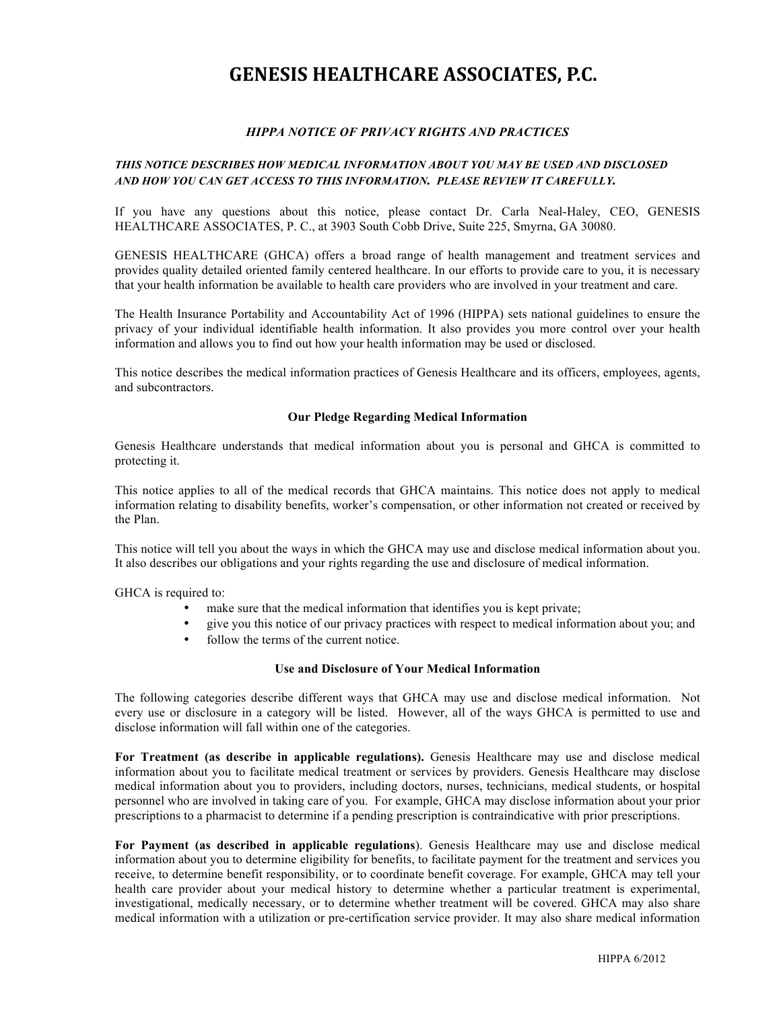# **GENESIS HEALTHCARE ASSOCIATES, P.C.**

# *HIPPA NOTICE OF PRIVACY RIGHTS AND PRACTICES*

## *THIS NOTICE DESCRIBES HOW MEDICAL INFORMATION ABOUT YOU MAY BE USED AND DISCLOSED AND HOW YOU CAN GET ACCESS TO THIS INFORMATION. PLEASE REVIEW IT CAREFULLY.*

If you have any questions about this notice, please contact Dr. Carla Neal-Haley, CEO, GENESIS HEALTHCARE ASSOCIATES, P. C., at 3903 South Cobb Drive, Suite 225, Smyrna, GA 30080.

GENESIS HEALTHCARE (GHCA) offers a broad range of health management and treatment services and provides quality detailed oriented family centered healthcare. In our efforts to provide care to you, it is necessary that your health information be available to health care providers who are involved in your treatment and care.

The Health Insurance Portability and Accountability Act of 1996 (HIPPA) sets national guidelines to ensure the privacy of your individual identifiable health information. It also provides you more control over your health information and allows you to find out how your health information may be used or disclosed.

This notice describes the medical information practices of Genesis Healthcare and its officers, employees, agents, and subcontractors.

### **Our Pledge Regarding Medical Information**

Genesis Healthcare understands that medical information about you is personal and GHCA is committed to protecting it.

This notice applies to all of the medical records that GHCA maintains. This notice does not apply to medical information relating to disability benefits, worker's compensation, or other information not created or received by the Plan.

This notice will tell you about the ways in which the GHCA may use and disclose medical information about you. It also describes our obligations and your rights regarding the use and disclosure of medical information.

GHCA is required to:

- make sure that the medical information that identifies you is kept private;
- give you this notice of our privacy practices with respect to medical information about you; and
- follow the terms of the current notice.

### **Use and Disclosure of Your Medical Information**

The following categories describe different ways that GHCA may use and disclose medical information. Not every use or disclosure in a category will be listed. However, all of the ways GHCA is permitted to use and disclose information will fall within one of the categories.

**For Treatment (as describe in applicable regulations).** Genesis Healthcare may use and disclose medical information about you to facilitate medical treatment or services by providers. Genesis Healthcare may disclose medical information about you to providers, including doctors, nurses, technicians, medical students, or hospital personnel who are involved in taking care of you. For example, GHCA may disclose information about your prior prescriptions to a pharmacist to determine if a pending prescription is contraindicative with prior prescriptions.

**For Payment (as described in applicable regulations**). Genesis Healthcare may use and disclose medical information about you to determine eligibility for benefits, to facilitate payment for the treatment and services you receive, to determine benefit responsibility, or to coordinate benefit coverage. For example, GHCA may tell your health care provider about your medical history to determine whether a particular treatment is experimental, investigational, medically necessary, or to determine whether treatment will be covered. GHCA may also share medical information with a utilization or pre-certification service provider. It may also share medical information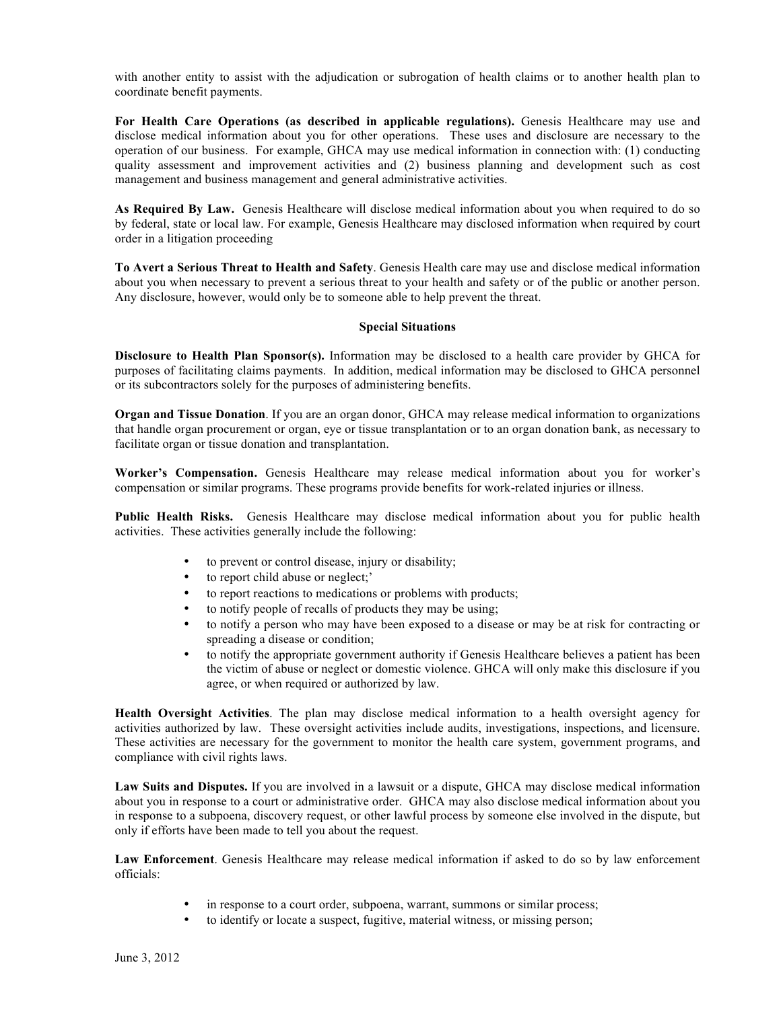with another entity to assist with the adjudication or subrogation of health claims or to another health plan to coordinate benefit payments.

For Health Care Operations (as described in applicable regulations). Genesis Healthcare may use and disclose medical information about you for other operations. These uses and disclosure are necessary to the operation of our business. For example, GHCA may use medical information in connection with: (1) conducting quality assessment and improvement activities and (2) business planning and development such as cost management and business management and general administrative activities.

**As Required By Law.** Genesis Healthcare will disclose medical information about you when required to do so by federal, state or local law. For example, Genesis Healthcare may disclosed information when required by court order in a litigation proceeding

**To Avert a Serious Threat to Health and Safety**. Genesis Health care may use and disclose medical information about you when necessary to prevent a serious threat to your health and safety or of the public or another person. Any disclosure, however, would only be to someone able to help prevent the threat.

## **Special Situations**

**Disclosure to Health Plan Sponsor(s).** Information may be disclosed to a health care provider by GHCA for purposes of facilitating claims payments. In addition, medical information may be disclosed to GHCA personnel or its subcontractors solely for the purposes of administering benefits.

**Organ and Tissue Donation**. If you are an organ donor, GHCA may release medical information to organizations that handle organ procurement or organ, eye or tissue transplantation or to an organ donation bank, as necessary to facilitate organ or tissue donation and transplantation.

**Worker's Compensation.** Genesis Healthcare may release medical information about you for worker's compensation or similar programs. These programs provide benefits for work-related injuries or illness.

**Public Health Risks.** Genesis Healthcare may disclose medical information about you for public health activities. These activities generally include the following:

- to prevent or control disease, injury or disability;
- to report child abuse or neglect;'
- to report reactions to medications or problems with products;<br>• to notify neonle of recalls of products they may be using;
- to notify people of recalls of products they may be using;
- to notify a person who may have been exposed to a disease or may be at risk for contracting or spreading a disease or condition;
- to notify the appropriate government authority if Genesis Healthcare believes a patient has been the victim of abuse or neglect or domestic violence. GHCA will only make this disclosure if you agree, or when required or authorized by law.

**Health Oversight Activities**. The plan may disclose medical information to a health oversight agency for activities authorized by law. These oversight activities include audits, investigations, inspections, and licensure. These activities are necessary for the government to monitor the health care system, government programs, and compliance with civil rights laws.

**Law Suits and Disputes.** If you are involved in a lawsuit or a dispute, GHCA may disclose medical information about you in response to a court or administrative order. GHCA may also disclose medical information about you in response to a subpoena, discovery request, or other lawful process by someone else involved in the dispute, but only if efforts have been made to tell you about the request.

**Law Enforcement**. Genesis Healthcare may release medical information if asked to do so by law enforcement officials:

- in response to a court order, subpoena, warrant, summons or similar process;
	- to identify or locate a suspect, fugitive, material witness, or missing person;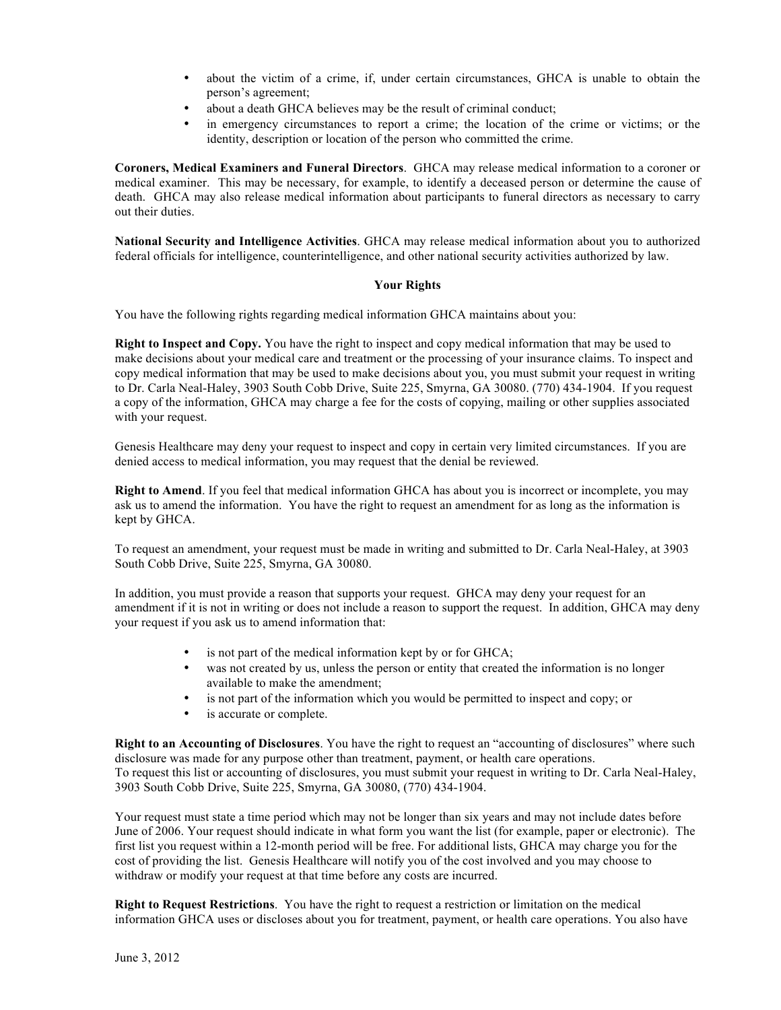- about the victim of a crime, if, under certain circumstances, GHCA is unable to obtain the person's agreement;
- about a death GHCA believes may be the result of criminal conduct;
- in emergency circumstances to report a crime; the location of the crime or victims; or the identity, description or location of the person who committed the crime.

**Coroners, Medical Examiners and Funeral Directors**. GHCA may release medical information to a coroner or medical examiner. This may be necessary, for example, to identify a deceased person or determine the cause of death. GHCA may also release medical information about participants to funeral directors as necessary to carry out their duties.

**National Security and Intelligence Activities**. GHCA may release medical information about you to authorized federal officials for intelligence, counterintelligence, and other national security activities authorized by law.

# **Your Rights**

You have the following rights regarding medical information GHCA maintains about you:

**Right to Inspect and Copy.** You have the right to inspect and copy medical information that may be used to make decisions about your medical care and treatment or the processing of your insurance claims. To inspect and copy medical information that may be used to make decisions about you, you must submit your request in writing to Dr. Carla Neal-Haley, 3903 South Cobb Drive, Suite 225, Smyrna, GA 30080. (770) 434-1904. If you request a copy of the information, GHCA may charge a fee for the costs of copying, mailing or other supplies associated with your request.

Genesis Healthcare may deny your request to inspect and copy in certain very limited circumstances. If you are denied access to medical information, you may request that the denial be reviewed.

**Right to Amend**. If you feel that medical information GHCA has about you is incorrect or incomplete, you may ask us to amend the information. You have the right to request an amendment for as long as the information is kept by GHCA.

To request an amendment, your request must be made in writing and submitted to Dr. Carla Neal-Haley, at 3903 South Cobb Drive, Suite 225, Smyrna, GA 30080.

In addition, you must provide a reason that supports your request. GHCA may deny your request for an amendment if it is not in writing or does not include a reason to support the request. In addition, GHCA may deny your request if you ask us to amend information that:

- is not part of the medical information kept by or for GHCA;
- was not created by us, unless the person or entity that created the information is no longer available to make the amendment;
- is not part of the information which you would be permitted to inspect and copy; or
- is accurate or complete.

**Right to an Accounting of Disclosures**. You have the right to request an "accounting of disclosures" where such disclosure was made for any purpose other than treatment, payment, or health care operations. To request this list or accounting of disclosures, you must submit your request in writing to Dr. Carla Neal-Haley, 3903 South Cobb Drive, Suite 225, Smyrna, GA 30080, (770) 434-1904.

Your request must state a time period which may not be longer than six years and may not include dates before June of 2006. Your request should indicate in what form you want the list (for example, paper or electronic). The first list you request within a 12-month period will be free. For additional lists, GHCA may charge you for the cost of providing the list. Genesis Healthcare will notify you of the cost involved and you may choose to withdraw or modify your request at that time before any costs are incurred.

**Right to Request Restrictions**. You have the right to request a restriction or limitation on the medical information GHCA uses or discloses about you for treatment, payment, or health care operations. You also have